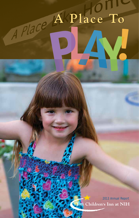## A Place A Place To

2013 Annual Report<br>The Children's Inn at NIH